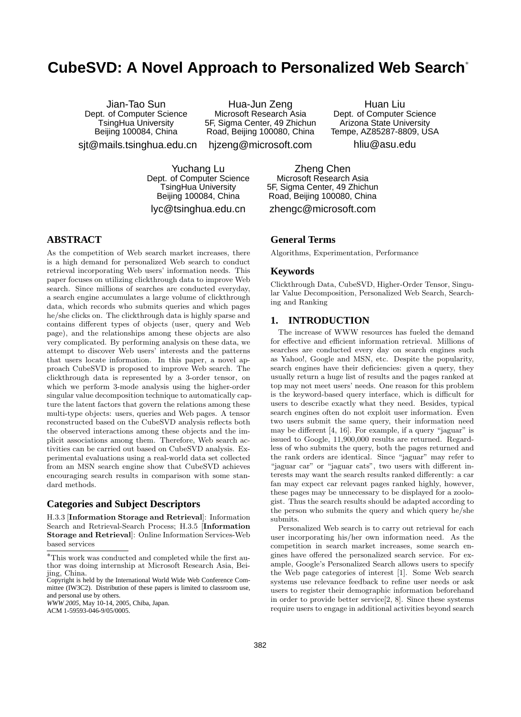# **CubeSVD: A Novel Approach to Personalized Web Search**<sup>∗</sup>

Jian-Tao Sun Dept. of Computer Science TsingHua University Beijing 100084, China

Hua-Jun Zeng Microsoft Research Asia 5F, Sigma Center, 49 Zhichun Road, Beijing 100080, China

Huan Liu Dept. of Computer Science Arizona State University Tempe, AZ85287-8809, USA

sjt@mails.tsinghua.edu.cn

hjzeng@microsoft.com

hliu@asu.edu

Yuchang Lu Dept. of Computer Science TsingHua University Beijing 100084, China lyc@tsinghua.edu.cn

# **ABSTRACT**

As the competition of Web search market increases, there is a high demand for personalized Web search to conduct retrieval incorporating Web users' information needs. This paper focuses on utilizing clickthrough data to improve Web search. Since millions of searches are conducted everyday, a search engine accumulates a large volume of clickthrough data, which records who submits queries and which pages he/she clicks on. The clickthrough data is highly sparse and contains different types of objects (user, query and Web page), and the relationships among these objects are also very complicated. By performing analysis on these data, we attempt to discover Web users' interests and the patterns that users locate information. In this paper, a novel approach CubeSVD is proposed to improve Web search. The clickthrough data is represented by a 3-order tensor, on which we perform 3-mode analysis using the higher-order singular value decomposition technique to automatically capture the latent factors that govern the relations among these multi-type objects: users, queries and Web pages. A tensor reconstructed based on the CubeSVD analysis reflects both the observed interactions among these objects and the implicit associations among them. Therefore, Web search activities can be carried out based on CubeSVD analysis. Experimental evaluations using a real-world data set collected from an MSN search engine show that CubeSVD achieves encouraging search results in comparison with some standard methods.

# **Categories and Subject Descriptors**

H.3.3 [Information Storage and Retrieval]: Information Search and Retrieval-Search Process; H.3.5 [Information Storage and Retrieval]: Online Information Services-Web based services

*WWW 2005*, May 10-14, 2005, Chiba, Japan.

ACM 1-59593-046-9/05/0005.

Zheng Chen Microsoft Research Asia 5F, Sigma Center, 49 Zhichun Road, Beijing 100080, China

zhengc@microsoft.com

# **General Terms**

Algorithms, Experimentation, Performance

## **Keywords**

Clickthrough Data, CubeSVD, Higher-Order Tensor, Singular Value Decomposition, Personalized Web Search, Searching and Ranking

# **1. INTRODUCTION**

The increase of WWW resources has fueled the demand for effective and efficient information retrieval. Millions of searches are conducted every day on search engines such as Yahoo!, Google and MSN, etc. Despite the popularity, search engines have their deficiencies: given a query, they usually return a huge list of results and the pages ranked at top may not meet users' needs. One reason for this problem is the keyword-based query interface, which is difficult for users to describe exactly what they need. Besides, typical search engines often do not exploit user information. Even two users submit the same query, their information need may be different [4, 16]. For example, if a query "jaguar" is issued to Google, 11,900,000 results are returned. Regardless of who submits the query, both the pages returned and the rank orders are identical. Since "jaguar" may refer to "jaguar car" or "jaguar cats", two users with different interests may want the search results ranked differently: a car fan may expect car relevant pages ranked highly, however, these pages may be unnecessary to be displayed for a zoologist. Thus the search results should be adapted according to the person who submits the query and which query he/she submits.

Personalized Web search is to carry out retrieval for each user incorporating his/her own information need. As the competition in search market increases, some search engines have offered the personalized search service. For example, Google's Personalized Search allows users to specify the Web page categories of interest [1]. Some Web search systems use relevance feedback to refine user needs or ask users to register their demographic information beforehand in order to provide better service[2, 8]. Since these systems require users to engage in additional activities beyond search

<sup>∗</sup>This work was conducted and completed while the first author was doing internship at Microsoft Research Asia, Beijing, China.

Copyright is held by the International World Wide Web Conference Committee (IW3C2). Distribution of these papers is limited to classroom use, and personal use by others.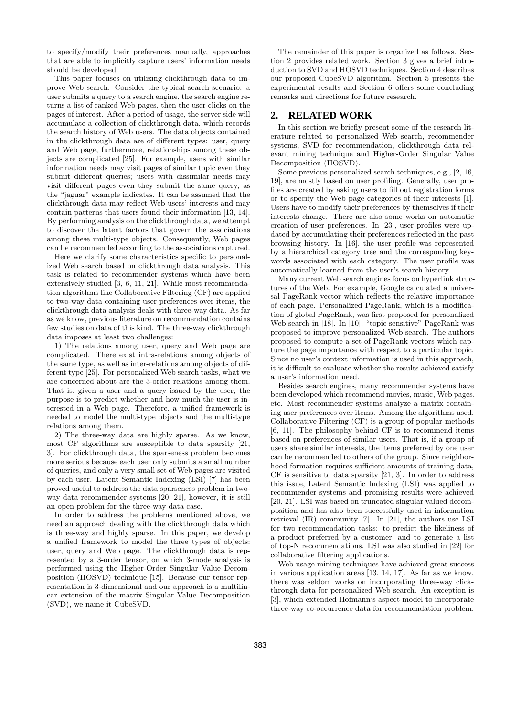to specify/modify their preferences manually, approaches that are able to implicitly capture users' information needs should be developed.

This paper focuses on utilizing clickthrough data to improve Web search. Consider the typical search scenario: a user submits a query to a search engine, the search engine returns a list of ranked Web pages, then the user clicks on the pages of interest. After a period of usage, the server side will accumulate a collection of clickthrough data, which records the search history of Web users. The data objects contained in the clickthrough data are of different types: user, query and Web page, furthermore, relationships among these objects are complicated [25]. For example, users with similar information needs may visit pages of similar topic even they submit different queries; users with dissimilar needs may visit different pages even they submit the same query, as the "jaguar" example indicates. It can be assumed that the clickthrough data may reflect Web users' interests and may contain patterns that users found their information [13, 14]. By performing analysis on the clickthrough data, we attempt to discover the latent factors that govern the associations among these multi-type objects. Consequently, Web pages can be recommended according to the associations captured.

Here we clarify some characteristics specific to personalized Web search based on clickthrough data analysis. This task is related to recommender systems which have been extensively studied [3, 6, 11, 21]. While most recommendation algorithms like Collaborative Filtering (CF) are applied to two-way data containing user preferences over items, the clickthrough data analysis deals with three-way data. As far as we know, previous literature on recommendation contains few studies on data of this kind. The three-way clickthrough data imposes at least two challenges:

1) The relations among user, query and Web page are complicated. There exist intra-relations among objects of the same type, as well as inter-relations among objects of different type [25]. For personalized Web search tasks, what we are concerned about are the 3-order relations among them. That is, given a user and a query issued by the user, the purpose is to predict whether and how much the user is interested in a Web page. Therefore, a unified framework is needed to model the multi-type objects and the multi-type relations among them.

2) The three-way data are highly sparse. As we know, most CF algorithms are susceptible to data sparsity [21, 3]. For clickthrough data, the sparseness problem becomes more serious because each user only submits a small number of queries, and only a very small set of Web pages are visited by each user. Latent Semantic Indexing (LSI) [7] has been proved useful to address the data sparseness problem in twoway data recommender systems [20, 21], however, it is still an open problem for the three-way data case.

In order to address the problems mentioned above, we need an approach dealing with the clickthrough data which is three-way and highly sparse. In this paper, we develop a unified framework to model the three types of objects: user, query and Web page. The clickthrough data is represented by a 3-order tensor, on which 3-mode analysis is performed using the Higher-Order Singular Value Decomposition (HOSVD) technique [15]. Because our tensor representation is 3-dimensional and our approach is a multilinear extension of the matrix Singular Value Decomposition (SVD), we name it CubeSVD.

The remainder of this paper is organized as follows. Section 2 provides related work. Section 3 gives a brief introduction to SVD and HOSVD techniques. Section 4 describes our proposed CubeSVD algorithm. Section 5 presents the experimental results and Section 6 offers some concluding remarks and directions for future research.

# **2. RELATED WORK**

In this section we briefly present some of the research literature related to personalized Web search, recommender systems, SVD for recommendation, clickthrough data relevant mining technique and Higher-Order Singular Value Decomposition (HOSVD).

Some previous personalized search techniques, e.g., [2, 16, 19], are mostly based on user profiling. Generally, user profiles are created by asking users to fill out registration forms or to specify the Web page categories of their interests [1]. Users have to modify their preferences by themselves if their interests change. There are also some works on automatic creation of user preferences. In [23], user profiles were updated by accumulating their preferences reflected in the past browsing history. In [16], the user profile was represented by a hierarchical category tree and the corresponding keywords associated with each category. The user profile was automatically learned from the user's search history.

Many current Web search engines focus on hyperlink structures of the Web. For example, Google calculated a universal PageRank vector which reflects the relative importance of each page. Personalized PageRank, which is a modification of global PageRank, was first proposed for personalized Web search in [18]. In [10], "topic sensitive" PageRank was proposed to improve personalized Web search. The authors proposed to compute a set of PageRank vectors which capture the page importance with respect to a particular topic. Since no user's context information is used in this approach, it is difficult to evaluate whether the results achieved satisfy a user's information need.

Besides search engines, many recommender systems have been developed which recommend movies, music, Web pages, etc. Most recommender systems analyze a matrix containing user preferences over items. Among the algorithms used, Collaborative Filtering (CF) is a group of popular methods [6, 11]. The philosophy behind CF is to recommend items based on preferences of similar users. That is, if a group of users share similar interests, the items preferred by one user can be recommended to others of the group. Since neighborhood formation requires sufficient amounts of training data, CF is sensitive to data sparsity [21, 3]. In order to address this issue, Latent Semantic Indexing (LSI) was applied to recommender systems and promising results were achieved [20, 21]. LSI was based on truncated singular valued decomposition and has also been successfully used in information retrieval (IR) community [7]. In [21], the authors use LSI for two recommendation tasks: to predict the likeliness of a product preferred by a customer; and to generate a list of top-N recommendations. LSI was also studied in [22] for collaborative filtering applications.

Web usage mining techniques have achieved great success in various application areas [13, 14, 17]. As far as we know, there was seldom works on incorporating three-way clickthrough data for personalized Web search. An exception is [3], which extended Hofmann's aspect model to incorporate three-way co-occurrence data for recommendation problem.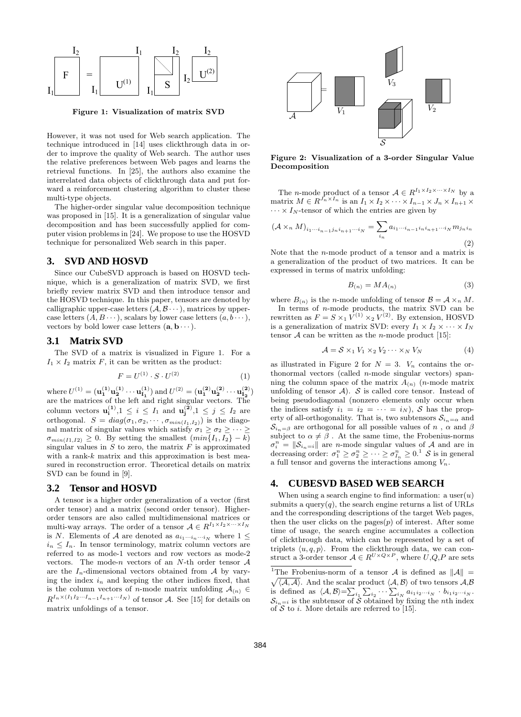

Figure 1: Visualization of matrix SVD

However, it was not used for Web search application. The technique introduced in [14] uses clickthrough data in order to improve the quality of Web search. The author uses the relative preferences between Web pages and learns the retrieval functions. In [25], the authors also examine the interrelated data objects of clickthrough data and put forward a reinforcement clustering algorithm to cluster these multi-type objects.

The higher-order singular value decomposition technique was proposed in [15]. It is a generalization of singular value decomposition and has been successfully applied for computer vision problems in [24]. We propose to use the HOSVD technique for personalized Web search in this paper.

## **3. SVD AND HOSVD**

Since our CubeSVD approach is based on HOSVD technique, which is a generalization of matrix SVD, we first briefly review matrix SVD and then introduce tensor and the HOSVD technique. In this paper, tensors are denoted by calligraphic upper-case letters  $(A, \mathcal{B} \cdots)$ , matrices by uppercase letters  $(A, B \cdots)$ , scalars by lower case letters  $(a, b \cdots)$ , vectors by bold lower case letters  $(a, b \cdots)$ .

## **3.1 Matrix SVD**

The SVD of a matrix is visualized in Figure 1. For a  $I_1 \times I_2$  matrix F, it can be written as the product:

$$
F = U^{(1)} \cdot S \cdot U^{(2)} \tag{1}
$$

where  $U^{(1)} = (\mathbf{u_1^{(1)}u_2^{(1)}} \cdots \mathbf{u_{I_1}^{(1)}})$  and  $U^{(2)} = (\mathbf{u_1^{(2)}u_2^{(2)}} \cdots \mathbf{u_{I_2}^{(2)}})$ are the matrices of the left and right singular vectors. The column vectors  $\mathbf{u_i^{(1)}}, 1 \leq i \leq I_1$  and  $\mathbf{u_j^{(2)}}, 1 \leq j \leq I_2$  are orthogonal.  $S = diag(\sigma_1, \sigma_2, \cdots, \sigma_{min(I_1, I_2)})$  is the diagonal matrix of singular values which satisfy  $\sigma_1 \ge \sigma_2 \ge \cdots \ge$  $\sigma_{min(I1,I2)} \geq 0$ . By setting the smallest  $(min\overline{I_1,I_2} - k)$ singular values in  $S$  to zero, the matrix  $F$  is approximated with a rank- $k$  matrix and this approximation is best measured in reconstruction error. Theoretical details on matrix SVD can be found in [9].

#### **3.2 Tensor and HOSVD**

A tensor is a higher order generalization of a vector (first order tensor) and a matrix (second order tensor). Higherorder tensors are also called multidimensional matrices or multi-way arrays. The order of a tensor  $A \in R^{I_1 \times I_2 \times \cdots \times I_N}$ is N. Elements of A are denoted as  $a_{i_1\cdots i_n\cdots i_N}$  where  $1 \leq$  $i_n \leq I_n$ . In tensor terminology, matrix column vectors are referred to as mode-1 vectors and row vectors as mode-2 vectors. The mode-n vectors of an  $N$ -th order tensor  $A$ are the  $I_n$ -dimensional vectors obtained from A by varying the index  $i_n$  and keeping the other indices fixed, that is the column vectors of *n*-mode matrix unfolding  $A_{(n)} \in$  $R^{I_n \times (I_1 I_2 \cdots I_{n-1} I_{n+1} \cdots I_N)}$  of tensor A. See [15] for details on matrix unfoldings of a tensor.



Figure 2: Visualization of a 3-order Singular Value Decomposition

The *n*-mode product of a tensor  $A \in R^{I_1 \times I_2 \times \cdots \times I_N}$  by a matrix  $M \in R^{\overline{J_n} \times I_n}$  is an  $I_1 \times I_2 \times \cdots \times I_{n-1} \times \overline{J_n} \times I_{n+1} \times$  $\cdots \times I_N$ -tensor of which the entries are given by

$$
(\mathcal{A} \times_n M)_{i_1 \cdots i_{n-1} j_n i_{n+1} \cdots i_N} = \sum_{i_n} a_{i_1 \cdots i_{n-1} i_n i_{n+1} \cdots i_N} m_{j_n i_n}
$$
\n(2)

Note that the  $n$ -mode product of a tensor and a matrix is a generalization of the product of two matrices. It can be expressed in terms of matrix unfolding:

$$
B_{(n)} = MA_{(n)}\tag{3}
$$

where  $B_{(n)}$  is the *n*-mode unfolding of tensor  $\mathcal{B} = \mathcal{A} \times_n M$ . In terms of  $n$ -mode products, the matrix SVD can be rewritten as  $F = S \times_1 V^{(1)} \times_2 V^{(2)}$ . By extension, HOSVD is a generalization of matrix SVD: every  $I_1 \times I_2 \times \cdots \times I_N$ tensor  $A$  can be written as the *n*-mode product [15]:

$$
\mathcal{A} = \mathcal{S} \times_1 V_1 \times_2 V_2 \cdots \times_N V_N \tag{4}
$$

as illustrated in Figure 2 for  $N = 3$ .  $V_n$  contains the orthonormal vectors (called n-mode singular vectors) spanning the column space of the matrix  $A_{(n)}$  (*n*-mode matrix unfolding of tensor  $A$ ). S is called core tensor. Instead of being pseudodiagonal (nonzero elements only occur when the indices satisfy  $i_1 = i_2 = \cdots = i_N$ , S has the property of all-orthogonality. That is, two subtensors  $S_{i_n=\alpha}$  and  $\mathcal{S}_{i_n=\beta}$  are orthogonal for all possible values of n,  $\alpha$  and  $\beta$ subject to  $\alpha \neq \beta$ . At the same time, the Frobenius-norms  $\sigma_i^n = ||S_{i_n=i}||$  are *n*-mode singular values of A and are in decreasing order:  $\sigma_1^n \geq \sigma_2^n \geq \cdots \geq \sigma_{I_n}^n \geq 0$ <sup>1</sup> S is in general a full tensor and governs the interactions among  $V_n$ .

#### **4. CUBESVD BASED WEB SEARCH**

When using a search engine to find information: a user $(u)$ submits a query $(q)$ , the search engine returns a list of URLs and the corresponding descriptions of the target Web pages, then the user clicks on the pages $(p)$  of interest. After some time of usage, the search engine accumulates a collection of clickthrough data, which can be represented by a set of triplets  $\langle u, q, p \rangle$ . From the clickthrough data, we can construct a 3-order tensor  $A \in R^{U \times Q \times P}$ , where  $U, Q, P$  are sets

<sup>&</sup>lt;sup>1</sup>The Frobenius-norm of a tensor A is defined as  $||A|| =$  $\langle A, A \rangle$ . And the scalar product  $\langle A, B \rangle$  of two tensors  $A, B$  $\bigvee_i \langle A, A \rangle$ . And the scalar product  $\langle A, B \rangle$  of two tensors  $A, B$ <br>is defined as  $\langle A, B \rangle = \sum_{i_1} \sum_{i_2} \cdots \sum_{i_N} a_{i_1 i_2 \cdots i_N} \cdot b_{i_1 i_2 \cdots i_N}$ .  $S_{i_n=i}$  is the subtensor of  $\tilde{S}$  obtained by fixing the *n*th index of  $S$  to *i*. More details are referred to [15].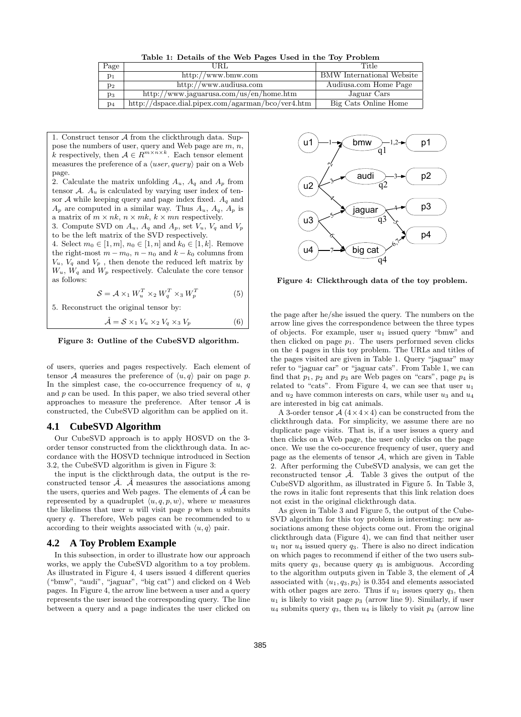Table 1: Details of the Web Pages Used in the Toy Problem

| Page           | URL                                                 | Title                            |
|----------------|-----------------------------------------------------|----------------------------------|
| $p_1$          | http://www.bmw.com                                  | <b>BMW</b> International Website |
| $p_2$          | http://www.audiusa.com                              | Audiusa.com Home Page            |
| pз             | http://www.jaguarusa.com/us/en/home.htm             | Jaguar Cars                      |
| p <sub>4</sub> | $http://dspace.dial.pipex.com/agarman/bco/ver4.htm$ | Big Cats Online Home             |

1. Construct tensor A from the clickthrough data. Suppose the numbers of user, query and Web page are m, n, k respectively, then  $A \in R^{m \times n \times k}$ . Each tensor element measures the preference of a  $\langle user, query \rangle$  pair on a Web page.

2. Calculate the matrix unfolding  $A_u$ ,  $A_q$  and  $A_p$  from tensor  $A$ .  $A_u$  is calculated by varying user index of tensor  $A$  while keeping query and page index fixed.  $A_q$  and  $A_p$  are computed in a similar way. Thus  $A_u$ ,  $A_q$ ,  $A_p$  is a matrix of  $m \times nk$ ,  $n \times mk$ ,  $k \times mn$  respectively.

3. Compute SVD on  $A_u$ ,  $A_q$  and  $A_p$ , set  $V_u$ ,  $V_q$  and  $V_p$ to be the left matrix of the SVD respectively.

4. Select  $m_0 \in [1, m], n_0 \in [1, n]$  and  $k_0 \in [1, k]$ . Remove the right-most  $m - m_0$ ,  $n - n_0$  and  $k - k_0$  columns from  $V_u$ ,  $V_q$  and  $V_p$ , then denote the reduced left matrix by  $W_u$ ,  $W_q$  and  $W_p$  respectively. Calculate the core tensor as follows:

$$
S = A \times_1 W_u^T \times_2 W_q^T \times_3 W_p^T
$$
 (5)

5. Reconstruct the original tensor by:

$$
\hat{\mathcal{A}} = \mathcal{S} \times_1 V_u \times_2 V_q \times_3 V_p \tag{6}
$$

Figure 3: Outline of the CubeSVD algorithm.

of users, queries and pages respectively. Each element of tensor A measures the preference of  $\langle u, q \rangle$  pair on page p. In the simplest case, the co-occurrence frequency of  $u, q$ and p can be used. In this paper, we also tried several other approaches to measure the preference. After tensor A is constructed, the CubeSVD algorithm can be applied on it.

## **4.1 CubeSVD Algorithm**

Our CubeSVD approach is to apply HOSVD on the 3 order tensor constructed from the clickthrough data. In accordance with the HOSVD technique introduced in Section 3.2, the CubeSVD algorithm is given in Figure 3:

the input is the clickthrough data, the output is the reconstructed tensor  $\mathcal{A}$ .  $\mathcal{A}$  measures the associations among the users, queries and Web pages. The elements of  $\hat{\mathcal{A}}$  can be represented by a quadruplet  $\langle u, q, p, w \rangle$ , where w measures the likeliness that user u will visit page  $p$  when u submits query  $q$ . Therefore, Web pages can be recommended to  $u$ according to their weights associated with  $\langle u, q \rangle$  pair.

## **4.2 A Toy Problem Example**

In this subsection, in order to illustrate how our approach works, we apply the CubeSVD algorithm to a toy problem. As illustrated in Figure 4, 4 users issued 4 different queries ("bmw", "audi", "jaguar", "big cat") and clicked on 4 Web pages. In Figure 4, the arrow line between a user and a query represents the user issued the corresponding query. The line between a query and a page indicates the user clicked on



Figure 4: Clickthrough data of the toy problem.

the page after he/she issued the query. The numbers on the arrow line gives the correspondence between the three types of objects. For example, user  $u_1$  issued query "bmw" and then clicked on page  $p_1$ . The users performed seven clicks on the 4 pages in this toy problem. The URLs and titles of the pages visited are given in Table 1. Query "jaguar" may refer to "jaguar car" or "jaguar cats". From Table 1, we can find that  $p_1$ ,  $p_2$  and  $p_3$  are Web pages on "cars", page  $p_4$  is related to "cats". From Figure 4, we can see that user  $u_1$ and  $u_2$  have common interests on cars, while user  $u_3$  and  $u_4$ are interested in big cat animals.

A 3-order tensor  $A(4\times4\times4)$  can be constructed from the clickthrough data. For simplicity, we assume there are no duplicate page visits. That is, if a user issues a query and then clicks on a Web page, the user only clicks on the page once. We use the co-occurence frequency of user, query and page as the elements of tensor  $A$ , which are given in Table 2. After performing the CubeSVD analysis, we can get the reconstructed tensor  $\hat{\mathcal{A}}$ . Table 3 gives the output of the CubeSVD algorithm, as illustrated in Figure 5. In Table 3, the rows in italic font represents that this link relation does not exist in the original clickthrough data.

As given in Table 3 and Figure 5, the output of the Cube-SVD algorithm for this toy problem is interesting: new associations among these objects come out. From the original clickthrough data (Figure 4), we can find that neither user  $u_1$  nor  $u_4$  issued query  $q_3$ . There is also no direct indication on which pages to recommend if either of the two users submits query  $q_3$ , because query  $q_3$  is ambiguous. According to the algorithm outputs given in Table 3, the element of  $\hat{\mathcal{A}}$ associated with  $\langle u_1, q_3, p_3 \rangle$  is 0.354 and elements associated with other pages are zero. Thus if  $u_1$  issues query  $q_3$ , then  $u_1$  is likely to visit page  $p_3$  (arrow line 9). Similarly, if user  $u_4$  submits query  $q_3$ , then  $u_4$  is likely to visit  $p_4$  (arrow line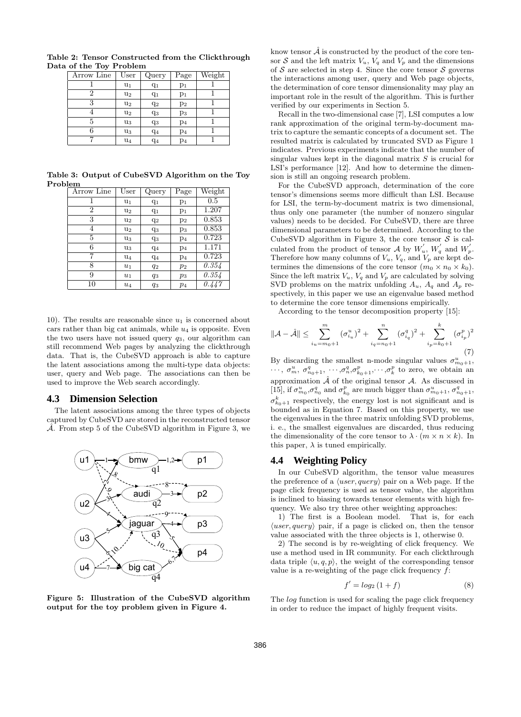| Arrow Line | User  | Query | Page           | Weight |
|------------|-------|-------|----------------|--------|
|            | $u_1$ | $q_1$ | $p_1$          |        |
| 2          | $u_2$ | $q_1$ | $p_1$          |        |
| 3          | $u_2$ | $q_2$ | p <sub>2</sub> |        |
|            | $u_2$ | $q_3$ | $p_3$          |        |
| 5          | u3    | $q_3$ | p <sub>4</sub> |        |
|            | u3    | $q_4$ | p <sub>4</sub> |        |
|            | $u_4$ | $q_4$ | p <sub>4</sub> |        |

Table 2: Tensor Constructed from the Clickthrough Data of the Toy Problem

Table 3: Output of CubeSVD Algorithm on the Toy Problem

| Arrow Line     | User           | Query | Page           | Weight  |
|----------------|----------------|-------|----------------|---------|
|                | u1             | $q_1$ | $p_1$          | $0.5\,$ |
| $\overline{2}$ | u <sub>2</sub> | $q_1$ | $p_1$          | 1.207   |
| 3              | u <sub>2</sub> | $q_2$ | p <sub>2</sub> | 0.853   |
| 4              | u <sub>2</sub> | $q_3$ | Pз             | 0.853   |
| 5              | $u_3$          | $q_3$ | p <sub>4</sub> | 0.723   |
| 6              | $u_3$          | $q_4$ | p <sub>4</sub> | 1.171   |
| 7              | $\mathrm{u}_4$ | $q_4$ | p <sub>4</sub> | 0.723   |
| 8              | $u_1$          | $q_2$ | $p_2$          | 0.354   |
| 9              | $u_1$          | $q_3$ | $p_3$          | 0.354   |
| 10             | $u_4$          | $q_3$ | $p_4$          | 0.447   |

10). The results are reasonable since  $u_1$  is concerned about cars rather than big cat animals, while  $u_4$  is opposite. Even the two users have not issued query  $q_3$ , our algorithm can still recommend Web pages by analyzing the clickthrough data. That is, the CubeSVD approach is able to capture the latent associations among the multi-type data objects: user, query and Web page. The associations can then be used to improve the Web search accordingly.

#### **4.3 Dimension Selection**

The latent associations among the three types of objects captured by CubeSVD are stored in the reconstructed tensor  $\hat{\mathcal{A}}$ . From step 5 of the CubeSVD algorithm in Figure 3, we



Figure 5: Illustration of the CubeSVD algorithm output for the toy problem given in Figure 4.

know tensor  $\mathcal A$  is constructed by the product of the core tensor  $S$  and the left matrix  $V_u$ ,  $V_q$  and  $V_p$  and the dimensions of S are selected in step 4. Since the core tensor S governs the interactions among user, query and Web page objects, the determination of core tensor dimensionality may play an important role in the result of the algorithm. This is further verified by our experiments in Section 5.

Recall in the two-dimensional case [7], LSI computes a low rank approximation of the original term-by-document matrix to capture the semantic concepts of a document set. The resulted matrix is calculated by truncated SVD as Figure 1 indicates. Previous experiments indicate that the number of singular values kept in the diagonal matrix  $S$  is crucial for LSI's performance [12]. And how to determine the dimension is still an ongoing research problem.

For the CubeSVD approach, determination of the core tensor's dimensions seems more difficult than LSI. Because for LSI, the term-by-document matrix is two dimensional, thus only one parameter (the number of nonzero singular values) needs to be decided. For CubeSVD, there are three dimensional parameters to be determined. According to the CubeSVD algorithm in Figure 3, the core tensor  $S$  is calculated from the product of tensor A by  $W'_u$ ,  $W'_q$  and  $W'_p$ . Therefore how many columns of  $V_u$ ,  $V_q$ , and  $V_p$  are kept determines the dimensions of the core tensor  $(m_0 \times n_0 \times k_0)$ . Since the left matrix  $V_u$ ,  $V_q$  and  $V_p$  are calculated by solving SVD problems on the matrix unfolding  $A_u$ ,  $A_q$  and  $A_p$  respectively, in this paper we use an eigenvalue based method to determine the core tensor dimensions empirically.

According to the tensor decomposition property [15]:

$$
\|\mathcal{A} - \hat{\mathcal{A}}\| \le \sum_{i_u = m_0 + 1}^m (\sigma_{i_u}^u)^2 + \sum_{i_q = n_0 + 1}^n (\sigma_{i_q}^q)^2 + \sum_{i_p = k_0 + 1}^k (\sigma_{i_p}^p)^2
$$
(7)

By discarding the smallest n-mode singular values  $\sigma_{m_0+1}^u$ ,  $\cdots$ ,  $\sigma_n^u$ ,  $\sigma_{n_0+1}^q$ ,  $\cdots$ ,  $\sigma_n^q$ ,  $\sigma_{k_0+1}^p$ ,  $\cdots$ ,  $\sigma_k^p$  to zero, we obtain an approximation  $\hat{\mathcal{A}}$  of the original tensor  $\mathcal{A}$ . As discussed in [15], if  $\sigma_{m_0}^u$ ,  $\sigma_{n_0}^q$  and  $\sigma_{k_0}^p$  are much bigger than  $\sigma_{m_0+1}^u$ ,  $\sigma_{n_0+1}^q$ ,  $\sigma_{k_0+1}^k$  respectively, the energy lost is not significant and is bounded as in Equation 7. Based on this property, we use the eigenvalues in the three matrix unfolding SVD problems, i. e., the smallest eigenvalues are discarded, thus reducing the dimensionality of the core tensor to  $\lambda \cdot (m \times n \times k)$ . In this paper,  $\lambda$  is tuned empirically.

# **4.4 Weighting Policy**

In our CubeSVD algorithm, the tensor value measures the preference of a  $\langle user, query \rangle$  pair on a Web page. If the page click frequency is used as tensor value, the algorithm is inclined to biasing towards tensor elements with high frequency. We also try three other weighting approaches:

1) The first is a Boolean model. That is, for each  $\langle user, query \rangle$  pair, if a page is clicked on, then the tensor value associated with the three objects is 1, otherwise 0.

2) The second is by re-weighting of click frequency. We use a method used in IR community. For each clickthrough data triple  $\langle u, q, p \rangle$ , the weight of the corresponding tensor value is a re-weighting of the page click frequency  $f$ :

$$
f' = \log_2\left(1 + f\right) \tag{8}
$$

The log function is used for scaling the page click frequency in order to reduce the impact of highly frequent visits.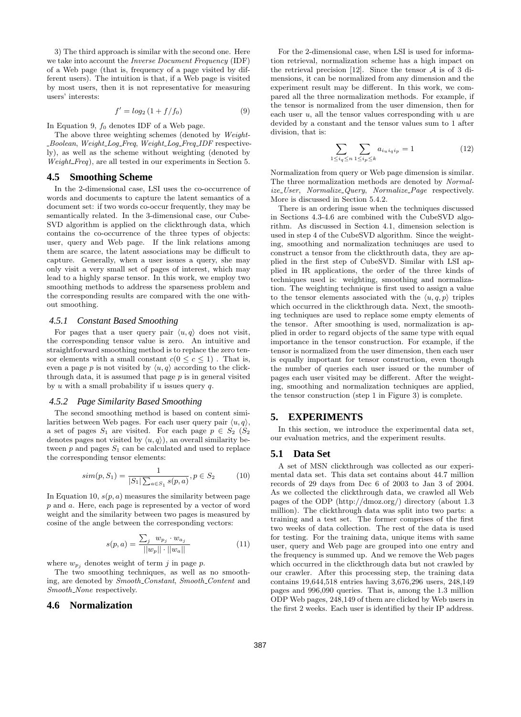3) The third approach is similar with the second one. Here we take into account the *Inverse Document Frequency* (IDF) of a Web page (that is, frequency of a page visited by different users). The intuition is that, if a Web page is visited by most users, then it is not representative for measuring users' interests:

$$
f' = \log_2\left(1 + \frac{f}{f_0}\right) \tag{9}
$$

In Equation 9,  $f_0$  denotes IDF of a Web page.

The above three weighting schemes (denoted by Weight-Boolean, Weight Log Freq, Weight Log Freq IDF respectively), as well as the scheme without weighting (denoted by Weight\_Freq), are all tested in our experiments in Section 5.

## **4.5 Smoothing Scheme**

In the 2-dimensional case, LSI uses the co-occurrence of words and documents to capture the latent semantics of a document set: if two words co-occur frequently, they may be semantically related. In the 3-dimensional case, our Cube-SVD algorithm is applied on the clickthrough data, which contains the co-occurrence of the three types of objects: user, query and Web page. If the link relations among them are scarce, the latent associations may be difficult to capture. Generally, when a user issues a query, she may only visit a very small set of pages of interest, which may lead to a highly sparse tensor. In this work, we employ two smoothing methods to address the sparseness problem and the corresponding results are compared with the one without smoothing.

#### *4.5.1 Constant Based Smoothing*

For pages that a user query pair  $\langle u, q \rangle$  does not visit, the corresponding tensor value is zero. An intuitive and straightforward smoothing method is to replace the zero tensor elements with a small constant  $c(0 \leq c \leq 1)$ . That is, even a page p is not visited by  $\langle u, q \rangle$  according to the clickthrough data, it is assumed that page  $p$  is in general visited by u with a small probability if u issues query q.

#### *4.5.2 Page Similarity Based Smoothing*

The second smoothing method is based on content similarities between Web pages. For each user query pair  $\langle u, q \rangle$ , a set of pages  $S_1$  are visited. For each page  $p \in S_2$  ( $S_2$ ) denotes pages not visited by  $\langle u, q \rangle$ ), an overall similarity between  $p$  and pages  $S_1$  can be calculated and used to replace the corresponding tensor elements:

$$
sim(p, S_1) = \frac{1}{|S_1| \sum_{a \in S_1} s(p, a)}, p \in S_2 \tag{10}
$$

In Equation 10,  $s(p, a)$  measures the similarity between page p and a. Here, each page is represented by a vector of word weight and the similarity between two pages is measured by cosine of the angle between the corresponding vectors:

$$
s(p, a) = \frac{\sum_{j} w_{p_j} \cdot w_{a_j}}{||w_p|| \cdot ||w_a||}
$$
(11)

where  $w_{p_i}$  denotes weight of term j in page p.

The two smoothing techniques, as well as no smoothing, are denoted by Smooth Constant, Smooth Content and Smooth\_None respectively.

# **4.6 Normalization**

For the 2-dimensional case, when LSI is used for information retrieval, normalization scheme has a high impact on the retrieval precision [12]. Since the tensor  $\mathcal A$  is of 3 dimensions, it can be normalized from any dimension and the experiment result may be different. In this work, we compared all the three normalization methods. For example, if the tensor is normalized from the user dimension, then for each user  $u$ , all the tensor values corresponding with  $u$  are devided by a constant and the tensor values sum to 1 after division, that is:

$$
\sum_{1 \le i_q \le n} \sum_{1 \le i_p \le k} a_{i_u i_q i_p} = 1 \tag{12}
$$

Normalization from query or Web page dimension is similar. The three normalization methods are denoted by Normalize\_User, Normalize\_Query, Normalize\_Page respectively. More is discussed in Section 5.4.2.

There is an ordering issue when the techniques discussed in Sections 4.3-4.6 are combined with the CubeSVD algorithm. As discussed in Section 4.1, dimension selection is used in step 4 of the CubeSVD algorithm. Since the weighting, smoothing and normalization techniuqes are used to construct a tensor from the clickthrouth data, they are applied in the first step of CubeSVD. Similar with LSI applied in IR applications, the order of the three kinds of techniques used is: weighting, smoothing and normalization. The weighting technique is first used to assign a value to the tensor elements associated with the  $\langle u, q, p \rangle$  triples which occurred in the clickthrough data. Next, the smoothing techniques are used to replace some empty elements of the tensor. After smoothing is used, normalization is applied in order to regard objects of the same type with equal importance in the tensor construction. For example, if the tensor is normalized from the user dimension, then each user is equally important for tensor construction, even though the number of queries each user issued or the number of pages each user visited may be different. After the weighting, smoothing and normalization techniques are applied, the tensor construction (step 1 in Figure 3) is complete.

## **5. EXPERIMENTS**

In this section, we introduce the experimental data set, our evaluation metrics, and the experiment results.

#### **5.1 Data Set**

A set of MSN clickthrough was collected as our experimental data set. This data set contains about 44.7 million records of 29 days from Dec 6 of 2003 to Jan 3 of 2004. As we collected the clickthrough data, we crawled all Web pages of the ODP (http://dmoz.org/) directory (about 1.3 million). The clickthrough data was split into two parts: a training and a test set. The former comprises of the first two weeks of data collection. The rest of the data is used for testing. For the training data, unique items with same user, query and Web page are grouped into one entry and the frequency is summed up. And we remove the Web pages which occurred in the clickthrough data but not crawled by our crawler. After this processing step, the training data contains 19,644,518 entries having 3,676,296 users, 248,149 pages and 996,090 queries. That is, among the 1.3 million ODP Web pages, 248,149 of them are clicked by Web users in the first 2 weeks. Each user is identified by their IP address.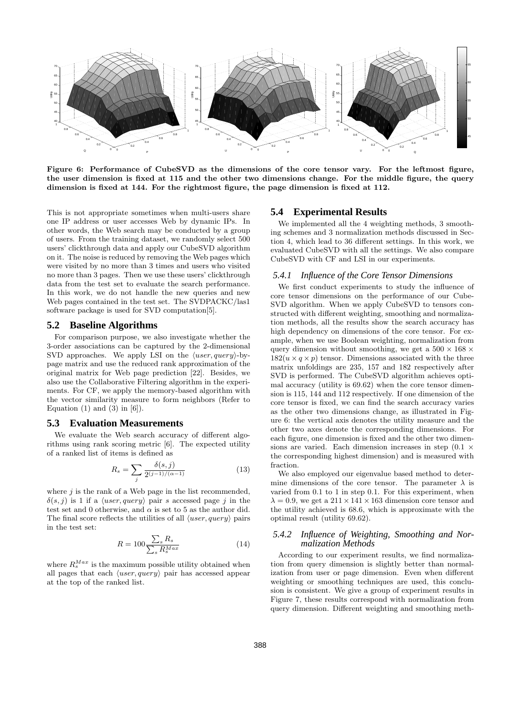

Figure 6: Performance of CubeSVD as the dimensions of the core tensor vary. For the leftmost figure, the user dimension is fixed at 115 and the other two dimensions change. For the middle figure, the query dimension is fixed at 144. For the rightmost figure, the page dimension is fixed at 112.

This is not appropriate sometimes when multi-users share one IP address or user accesses Web by dynamic IPs. In other words, the Web search may be conducted by a group of users. From the training dataset, we randomly select 500 users' clickthrough data and apply our CubeSVD algorithm on it. The noise is reduced by removing the Web pages which were visited by no more than 3 times and users who visited no more than 3 pages. Then we use these users' clickthrough data from the test set to evaluate the search performance. In this work, we do not handle the new queries and new Web pages contained in the test set. The SVDPACKC/las1 software package is used for SVD computation[5].

## **5.2 Baseline Algorithms**

For comparison purpose, we also investigate whether the 3-order associations can be captured by the 2-dimensional SVD approaches. We apply LSI on the  $\langle user, query \rangle$ -bypage matrix and use the reduced rank approximation of the original matrix for Web page prediction [22]. Besides, we also use the Collaborative Filtering algorithm in the experiments. For CF, we apply the memory-based algorithm with the vector similarity measure to form neighbors (Refer to Equation  $(1)$  and  $(3)$  in  $[6]$ ).

## **5.3 Evaluation Measurements**

We evaluate the Web search accuracy of different algorithms using rank scoring metric [6]. The expected utility of a ranked list of items is defined as

$$
R_s = \sum_{j} \frac{\delta(s, j)}{2^{(j-1)/( \alpha - 1)}} \tag{13}
$$

where  $j$  is the rank of a Web page in the list recommended,  $\delta(s, j)$  is 1 if a  $\langle user, query \rangle$  pair s accessed page j in the test set and 0 otherwise, and  $\alpha$  is set to 5 as the author did. The final score reflects the utilities of all  $\langle user, query \rangle$  pairs in the test set:

$$
R = 100 \frac{\sum_{s} R_s}{\sum_{s} R_s^{Max}} \tag{14}
$$

where  $R_s^{Max}$  is the maximum possible utility obtained when all pages that each  $\langle user, query \rangle$  pair has accessed appear at the top of the ranked list.

#### **5.4 Experimental Results**

We implemented all the 4 weighting methods, 3 smoothing schemes and 3 normalization methods discussed in Section 4, which lead to 36 different settings. In this work, we evaluated CubeSVD with all the settings. We also compare CubeSVD with CF and LSI in our experiments.

#### *5.4.1 Influence of the Core Tensor Dimensions*

We first conduct experiments to study the influence of core tensor dimensions on the performance of our Cube-SVD algorithm. When we apply CubeSVD to tensors constructed with different weighting, smoothing and normalization methods, all the results show the search accuracy has high dependency on dimensions of the core tensor. For example, when we use Boolean weighting, normalization from query dimension without smoothing, we get a  $500 \times 168 \times$  $182(u \times q \times p)$  tensor. Dimensions associated with the three matrix unfoldings are 235, 157 and 182 respectively after SVD is performed. The CubeSVD algorithm achieves optimal accuracy (utility is 69.62) when the core tensor dimension is 115, 144 and 112 respectively. If one dimension of the core tensor is fixed, we can find the search accuracy varies as the other two dimensions change, as illustrated in Figure 6: the vertical axis denotes the utility measure and the other two axes denote the corresponding dimensions. For each figure, one dimension is fixed and the other two dimensions are varied. Each dimension increases in step  $(0.1 \times$ the corresponding highest dimension) and is measured with fraction.

We also employed our eigenvalue based method to determine dimensions of the core tensor. The parameter  $\lambda$  is varied from 0.1 to 1 in step 0.1. For this experiment, when  $\lambda = 0.9$ , we get a  $211 \times 141 \times 163$  dimension core tensor and the utility achieved is 68.6, which is approximate with the optimal result (utility 69.62).

## *5.4.2 Influence of Weighting, Smoothing and Normalization Methods*

According to our experiment results, we find normalization from query dimension is slightly better than normalization from user or page dimension. Even when different weighting or smoothing techniques are used, this conclusion is consistent. We give a group of experiment results in Figure 7, these results correspond with normalization from query dimension. Different weighting and smoothing meth-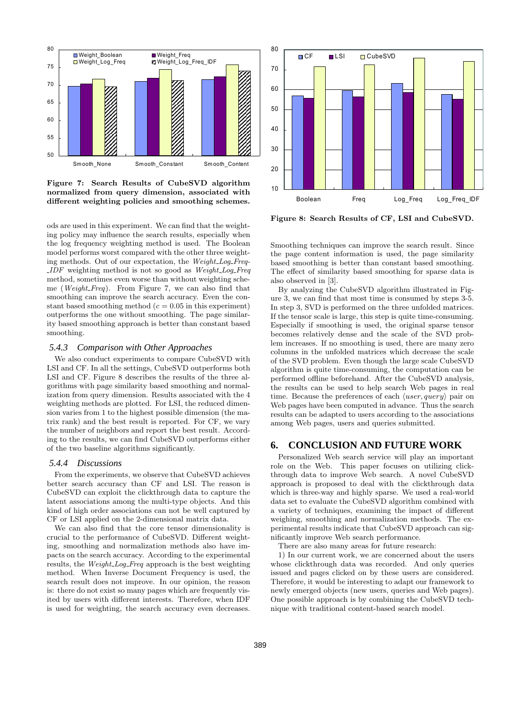

Figure 7: Search Results of CubeSVD algorithm normalized from query dimension, associated with different weighting policies and smoothing schemes.

ods are used in this experiment. We can find that the weighting policy may influence the search results, especially when the log frequency weighting method is used. The Boolean model performs worst compared with the other three weighting methods. Out of our expectation, the Weight\_Log\_Freq- $IDF$  weighting method is not so good as  $Weight\_Log\_Freq$ method, sometimes even worse than without weighting scheme (Weight\_Freq). From Figure 7, we can also find that smoothing can improve the search accuracy. Even the constant based smoothing method ( $c = 0.05$  in this experiment) outperforms the one without smoothing. The page similarity based smoothing approach is better than constant based smoothing.

## *5.4.3 Comparison with Other Approaches*

We also conduct experiments to compare CubeSVD with LSI and CF. In all the settings, CubeSVD outperforms both LSI and CF. Figure 8 describes the results of the three algorithms with page similarity based smoothing and normalization from query dimension. Results associated with the 4 weighting methods are plotted. For LSI, the reduced dimension varies from 1 to the highest possible dimension (the matrix rank) and the best result is reported. For CF, we vary the number of neighbors and report the best result. According to the results, we can find CubeSVD outperforms either of the two baseline algorithms significantly.

#### *5.4.4 Discussions*

From the experiments, we observe that CubeSVD achieves better search accuracy than CF and LSI. The reason is CubeSVD can exploit the clickthrough data to capture the latent associations among the multi-type objects. And this kind of high order associations can not be well captured by CF or LSI applied on the 2-dimensional matrix data.

We can also find that the core tensor dimensionality is crucial to the performance of CubeSVD. Different weighting, smoothing and normalization methods also have impacts on the search accuracy. According to the experimental results, the Weight-Log-Freq approach is the best weighting method. When Inverse Document Frequency is used, the search result does not improve. In our opinion, the reason is: there do not exist so many pages which are frequently visited by users with different interests. Therefore, when IDF is used for weighting, the search accuracy even decreases.



Figure 8: Search Results of CF, LSI and CubeSVD.

Smoothing techniques can improve the search result. Since the page content information is used, the page similarity based smoothing is better than constant based smoothing. The effect of similarity based smoothing for sparse data is also observed in [3].

By analyzing the CubeSVD algorithm illustrated in Figure 3, we can find that most time is consumed by steps 3-5. In step 3, SVD is performed on the three unfolded matrices. If the tensor scale is large, this step is quite time-consuming. Especially if smoothing is used, the original sparse tensor becomes relatively dense and the scale of the SVD problem increases. If no smoothing is used, there are many zero columns in the unfolded matrices which decrease the scale of the SVD problem. Even though the large scale CubeSVD algorithm is quite time-consuming, the computation can be performed offline beforehand. After the CubeSVD analysis, the results can be used to help search Web pages in real time. Because the preferences of each  $\langle user, query \rangle$  pair on Web pages have been computed in advance. Thus the search results can be adapted to users according to the associations among Web pages, users and queries submitted.

# **6. CONCLUSION AND FUTURE WORK**

Personalized Web search service will play an important role on the Web. This paper focuses on utilizing clickthrough data to improve Web search. A novel CubeSVD approach is proposed to deal with the clickthrough data which is three-way and highly sparse. We used a real-world data set to evaluate the CubeSVD algorithm combined with a variety of techniques, examining the impact of different weighing, smoothing and normalization methods. The experimental results indicate that CubeSVD approach can significantly improve Web search performance.

There are also many areas for future research:

1) In our current work, we are concerned about the users whose clickthrough data was recorded. And only queries issued and pages clicked on by these users are considered. Therefore, it would be interesting to adapt our framework to newly emerged objects (new users, queries and Web pages). One possible approach is by combining the CubeSVD technique with traditional content-based search model.